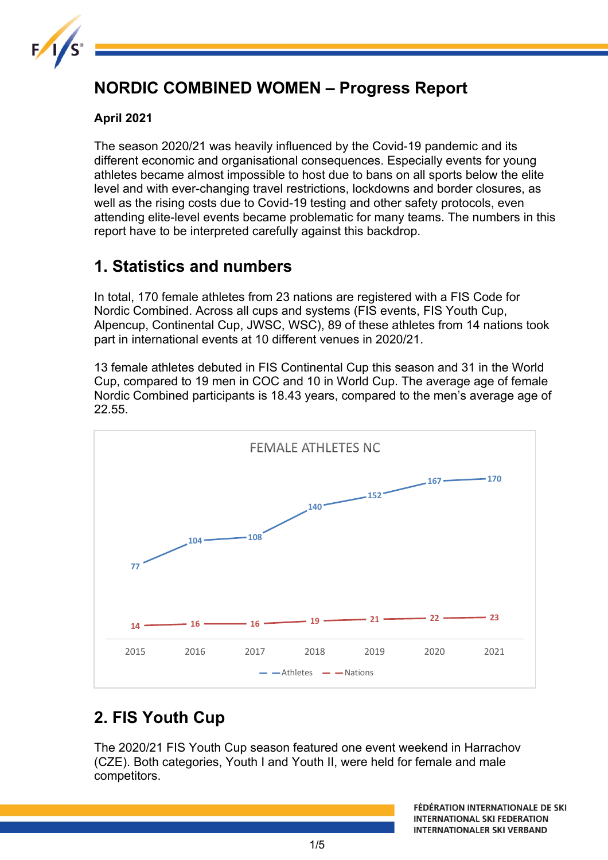

# **NORDIC COMBINED WOMEN – Progress Report**

#### **April 2021**

The season 2020/21 was heavily influenced by the Covid-19 pandemic and its different economic and organisational consequences. Especially events for young athletes became almost impossible to host due to bans on all sports below the elite level and with ever-changing travel restrictions, lockdowns and border closures, as well as the rising costs due to Covid-19 testing and other safety protocols, even attending elite-level events became problematic for many teams. The numbers in this report have to be interpreted carefully against this backdrop.

### **1. Statistics and numbers**

In total, 170 female athletes from 23 nations are registered with a FIS Code for Nordic Combined. Across all cups and systems (FIS events, FIS Youth Cup, Alpencup, Continental Cup, JWSC, WSC), 89 of these athletes from 14 nations took part in international events at 10 different venues in 2020/21.

13 female athletes debuted in FIS Continental Cup this season and 31 in the World Cup, compared to 19 men in COC and 10 in World Cup. The average age of female Nordic Combined participants is 18.43 years, compared to the men's average age of 22.55.



# **2. FIS Youth Cup**

The 2020/21 FIS Youth Cup season featured one event weekend in Harrachov (CZE). Both categories, Youth I and Youth II, were held for female and male competitors.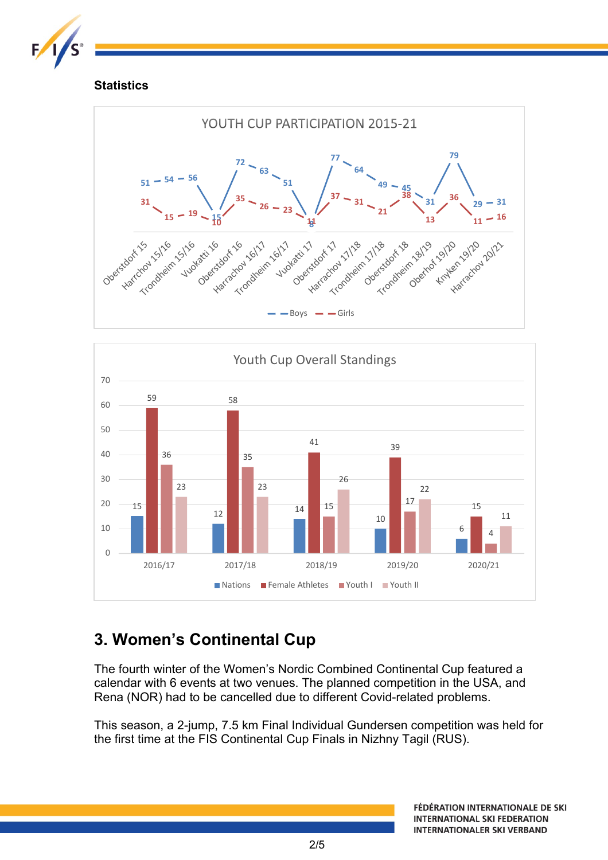

#### **Statistics**





# **3. Women's Continental Cup**

The fourth winter of the Women's Nordic Combined Continental Cup featured a calendar with 6 events at two venues. The planned competition in the USA, and Rena (NOR) had to be cancelled due to different Covid-related problems.

This season, a 2-jump, 7.5 km Final Individual Gundersen competition was held for the first time at the FIS Continental Cup Finals in Nizhny Tagil (RUS).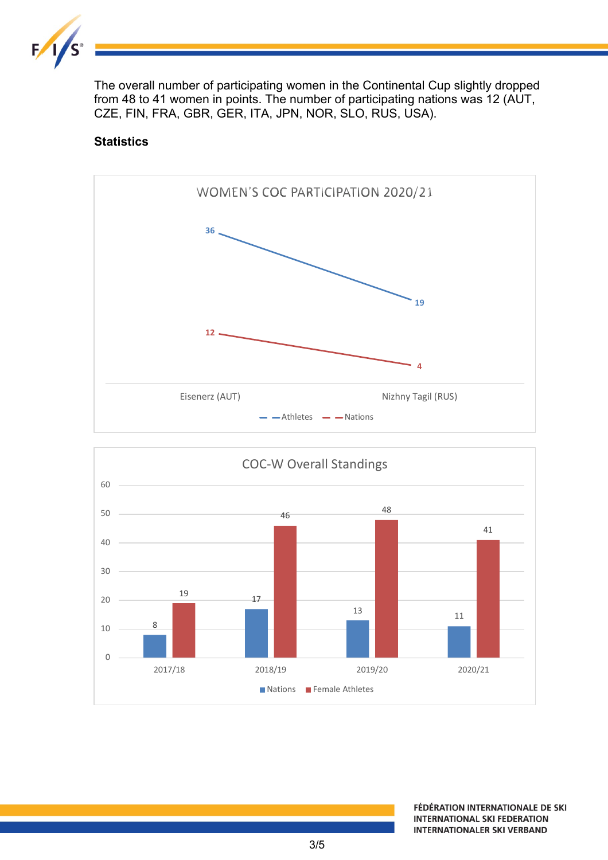

The overall number of participating women in the Continental Cup slightly dropped from 48 to 41 women in points. The number of participating nations was 12 (AUT, CZE, FIN, FRA, GBR, GER, ITA, JPN, NOR, SLO, RUS, USA).

#### **Statistics**



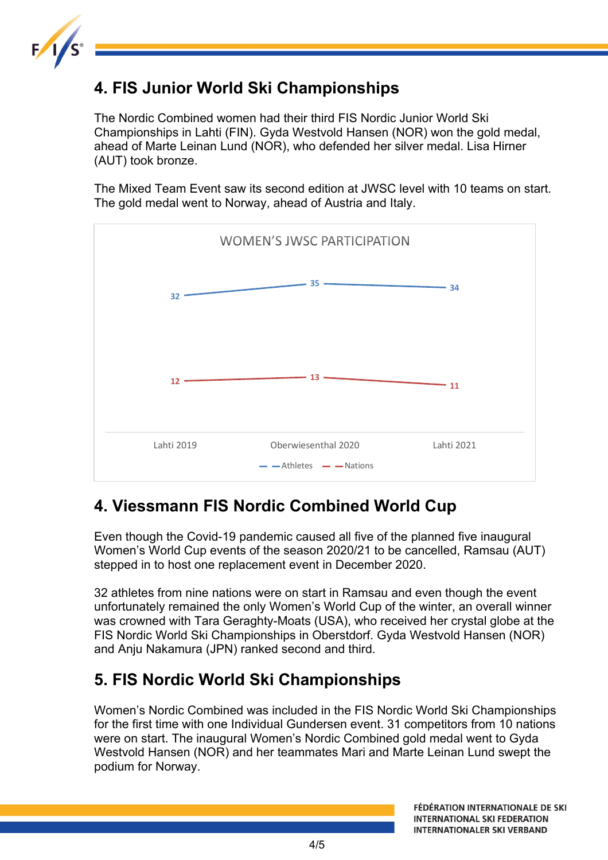

# **4. FIS Junior World Ski Championships**

The Nordic Combined women had their third FIS Nordic Junior World Ski Championships in Lahti (FIN). Gyda Westvold Hansen (NOR) won the gold medal, ahead of Marte Leinan Lund (NOR), who defended her silver medal. Lisa Hirner (AUT) took bronze.

The Mixed Team Event saw its second edition at JWSC level with 10 teams on start. The gold medal went to Norway, ahead of Austria and Italy.



### **4. Viessmann FIS Nordic Combined World Cup**

Even though the Covid-19 pandemic caused all five of the planned five inaugural Women's World Cup events of the season 2020/21 to be cancelled, Ramsau (AUT) stepped in to host one replacement event in December 2020.

32 athletes from nine nations were on start in Ramsau and even though the event unfortunately remained the only Women's World Cup of the winter, an overall winner was crowned with Tara Geraghty-Moats (USA), who received her crystal globe at the FIS Nordic World Ski Championships in Oberstdorf. Gyda Westvold Hansen (NOR) and Anju Nakamura (JPN) ranked second and third.

### **5. FIS Nordic World Ski Championships**

Women's Nordic Combined was included in the FIS Nordic World Ski Championships for the first time with one Individual Gundersen event. 31 competitors from 10 nations were on start. The inaugural Women's Nordic Combined gold medal went to Gyda Westvold Hansen (NOR) and her teammates Mari and Marte Leinan Lund swept the podium for Norway.